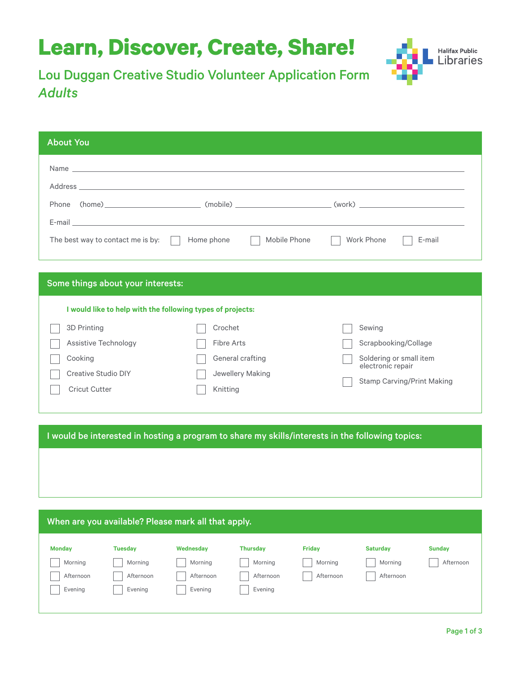## **Learn, Discover, Create, Share!**



Lou Duggan Creative Studio Volunteer Application Form *Adults*

| The best way to contact me is by: $\ \cdot\ $ | Mobile Phone<br>Home phone                                 | Work Phone<br>E-mail                                   |
|-----------------------------------------------|------------------------------------------------------------|--------------------------------------------------------|
|                                               |                                                            |                                                        |
|                                               |                                                            |                                                        |
| Some things about your interests:             | I would like to help with the following types of projects: |                                                        |
| 3D Printing                                   | Crochet                                                    | Sewing                                                 |
| Assistive Technology                          | <b>Fibre Arts</b>                                          | Scrapbooking/Collage                                   |
| Cooking                                       | General crafting                                           | Soldering or small item                                |
| <b>Creative Studio DIY</b>                    | Jewellery Making                                           | electronic repair<br><b>Stamp Carving/Print Making</b> |

I would be interested in hosting a program to share my skills/interests in the following topics:

| When are you available? Please mark all that apply. |                |           |                 |               |                 |               |  |  |  |
|-----------------------------------------------------|----------------|-----------|-----------------|---------------|-----------------|---------------|--|--|--|
| <b>Monday</b>                                       | <b>Tuesday</b> | Wednesday | <b>Thursday</b> | <b>Friday</b> | <b>Saturday</b> | <b>Sunday</b> |  |  |  |
| Morning                                             | Morning        | Morning   | Morning         | Morning       | Morning         | Afternoon     |  |  |  |
| Afternoon                                           | Afternoon      | Afternoon | Afternoon       | Afternoon     | Afternoon       |               |  |  |  |
| Evening                                             | Evening        | Evening   | Evening         |               |                 |               |  |  |  |
|                                                     |                |           |                 |               |                 |               |  |  |  |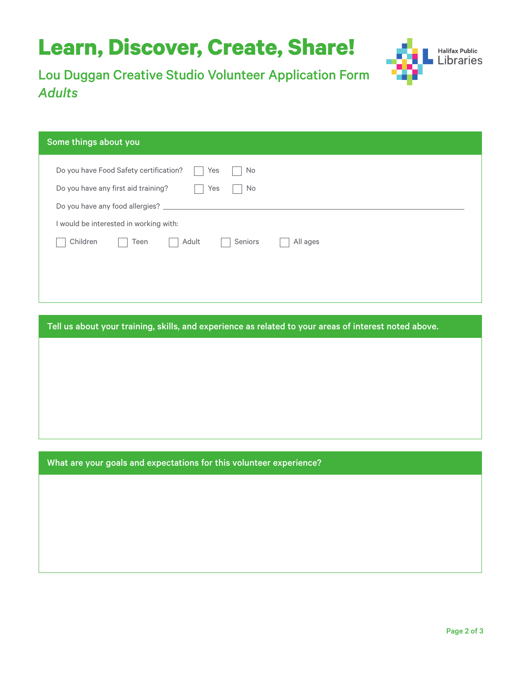# **Learn, Discover, Create, Share!**



Lou Duggan Creative Studio Volunteer Application Form *Adults*

#### Some things about you

| Do you have Food Safety certification?<br>Yes<br>No |
|-----------------------------------------------------|
| Do you have any first aid training?<br>Yes<br>No    |
| Do you have any food allergies?                     |
| I would be interested in working with:              |
| Children<br>Adult<br>Teen<br>Seniors<br>All ages    |
|                                                     |
|                                                     |
|                                                     |

Tell us about your training, skills, and experience as related to your areas of interest noted above.

What are your goals and expectations for this volunteer experience?